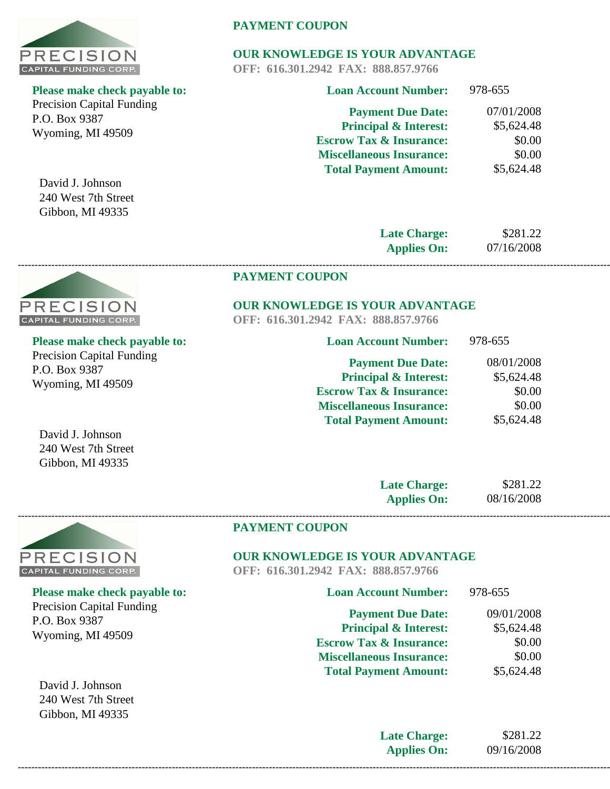

Precision Capital Funding P.O. Box 9387 Wyoming, MI 49509

David J. Johnson 240 West 7th Street Gibbon, MI 49335

# **PAYMENT COUPON**

# **OUR KNOWLEDGE IS YOUR ADVANTAGE**

**OFF: 616.301.2942 FAX: 888.857.9766**

| <b>Loan Account Number:</b>        | 978-655    |
|------------------------------------|------------|
| <b>Payment Due Date:</b>           | 07/01/2008 |
| <b>Principal &amp; Interest:</b>   | \$5,624.48 |
| <b>Escrow Tax &amp; Insurance:</b> | \$0.00     |
| <b>Miscellaneous Insurance:</b>    | \$0.00     |
| <b>Total Payment Amount:</b>       | \$5,624.48 |
|                                    |            |

**Late Charge: Applies On:**

\$281.22 07/16/2008

#### **PAYMENT COUPON**

# **OUR KNOWLEDGE IS YOUR ADVANTAGE**

**OFF: 616.301.2942 FAX: 888.857.9766**

**------------------------------------------------------------------------------------------------------------------------------------------------------------------------------------------------**

| <b>Loan Account Number:</b>        | 978-655    |
|------------------------------------|------------|
| <b>Payment Due Date:</b>           | 08/01/2008 |
| <b>Principal &amp; Interest:</b>   | \$5,624.48 |
| <b>Escrow Tax &amp; Insurance:</b> | \$0.00     |
| <b>Miscellaneous Insurance:</b>    | \$0.00     |
| <b>Total Payment Amount:</b>       | \$5,624.48 |

David J. Johnson 240 West 7th Street Gibbon, MI 49335

| <b>Late Charge:</b> | \$281.22   |
|---------------------|------------|
| <b>Applies On:</b>  | 08/16/2008 |



# **PAYMENT COUPON**

# **OUR KNOWLEDGE IS YOUR ADVANTAGE**

**OFF: 616.301.2942 FAX: 888.857.9766**

| <b>Loan Account Number:</b>        | 978-655    |
|------------------------------------|------------|
| <b>Payment Due Date:</b>           | 09/01/2008 |
| <b>Principal &amp; Interest:</b>   | \$5,624.48 |
| <b>Escrow Tax &amp; Insurance:</b> | \$0.00     |
| <b>Miscellaneous Insurance:</b>    | \$0.00     |
| <b>Total Payment Amount:</b>       | \$5,624.48 |
|                                    |            |

**Late Charge: Applies On:** \$281.22 09/16/2008 **------------------------------------------------------------------------------------------------------------------------------------------------------------------------------------------------**



**Please make check payable to:** 

Precision Capital Funding P.O. Box 9387 Wyoming, MI 49509



PRECISION CAPITAL FUNDING CORP. **Please make check payable to:** 

Precision Capital Funding P.O. Box 9387 Wyoming, MI 49509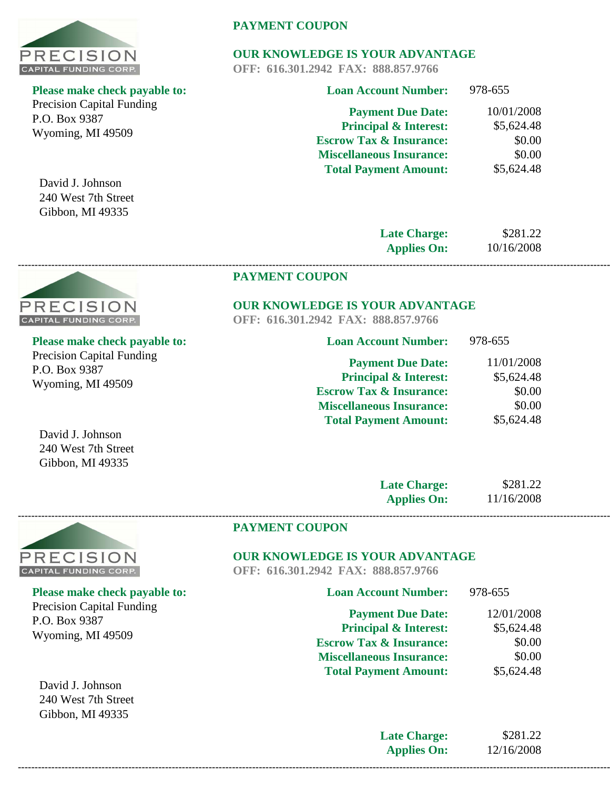

Precision Capital Funding P.O. Box 9387 Wyoming, MI 49509

David J. Johnson 240 West 7th Street Gibbon, MI 49335

# **PAYMENT COUPON**

# **OUR KNOWLEDGE IS YOUR ADVANTAGE**

**OFF: 616.301.2942 FAX: 888.857.9766**

| <b>Loan Account Number:</b>        | 978-655    |
|------------------------------------|------------|
| <b>Payment Due Date:</b>           | 10/01/2008 |
| <b>Principal &amp; Interest:</b>   | \$5,624.48 |
| <b>Escrow Tax &amp; Insurance:</b> | \$0.00     |
| <b>Miscellaneous Insurance:</b>    | \$0.00     |
| <b>Total Payment Amount:</b>       | \$5,624.48 |
|                                    |            |

**Late Charge: Applies On:** 10/16/2008

\$281.22

# **PAYMENT COUPON**

# **OUR KNOWLEDGE IS YOUR ADVANTAGE**

**OFF: 616.301.2942 FAX: 888.857.9766**

**------------------------------------------------------------------------------------------------------------------------------------------------------------------------------------------------**

| <b>Loan Account Number:</b>        | 978-655    |
|------------------------------------|------------|
| <b>Payment Due Date:</b>           | 11/01/2008 |
| <b>Principal &amp; Interest:</b>   | \$5,624.48 |
| <b>Escrow Tax &amp; Insurance:</b> | \$0.00     |
| <b>Miscellaneous Insurance:</b>    | \$0.00     |
| <b>Total Payment Amount:</b>       | \$5,624.48 |

David J. Johnson 240 West 7th Street

| <b>Late Charge:</b> | \$281.22   |
|---------------------|------------|
| <b>Applies On:</b>  | 11/16/2008 |



# **OUR KNOWLEDGE IS YOUR ADVANTAGE**

**OFF: 616.301.2942 FAX: 888.857.9766**

| <b>Loan Account Number:</b>        | 978-655    |
|------------------------------------|------------|
| <b>Payment Due Date:</b>           | 12/01/2008 |
| <b>Principal &amp; Interest:</b>   | \$5,624.48 |
| <b>Escrow Tax &amp; Insurance:</b> | \$0.00     |
| <b>Miscellaneous Insurance:</b>    | \$0.00     |
| <b>Total Payment Amount:</b>       | \$5,624.48 |
|                                    |            |

**Late Charge: Applies On:** \$281.22 12/16/2008 **------------------------------------------------------------------------------------------------------------------------------------------------------------------------------------------------**



# **Please make check payable to:**

Precision Capital Funding P.O. Box 9387 Wyoming, MI 49509

Gibbon, MI 49335



# **Please make check payable to:**

Precision Capital Funding P.O. Box 9387 Wyoming, MI 49509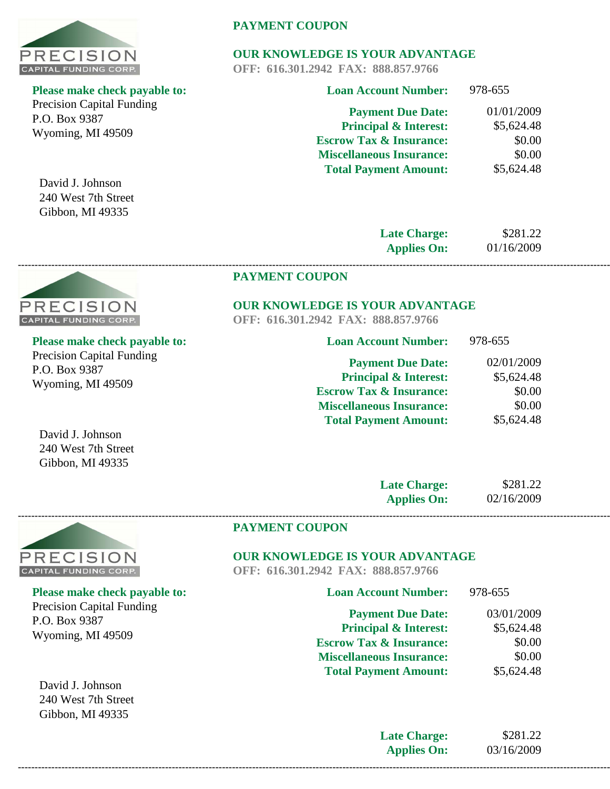

Precision Capital Funding P.O. Box 9387 Wyoming, MI 49509

David J. Johnson 240 West 7th Street Gibbon, MI 49335

# **PAYMENT COUPON**

# **OUR KNOWLEDGE IS YOUR ADVANTAGE**

**OFF: 616.301.2942 FAX: 888.857.9766**

| <b>Loan Account Number:</b>        | 978-655    |
|------------------------------------|------------|
| <b>Payment Due Date:</b>           | 01/01/2009 |
| <b>Principal &amp; Interest:</b>   | \$5,624.48 |
| <b>Escrow Tax &amp; Insurance:</b> | \$0.00     |
| <b>Miscellaneous Insurance:</b>    | \$0.00     |
| <b>Total Payment Amount:</b>       | \$5,624.48 |
|                                    |            |

**Late Charge: Applies On:** 01/16/2009

\$281.22

#### **PAYMENT COUPON**

# **OUR KNOWLEDGE IS YOUR ADVANTAGE**

**OFF: 616.301.2942 FAX: 888.857.9766**

**------------------------------------------------------------------------------------------------------------------------------------------------------------------------------------------------**

| <b>Please make check payable to:</b> |  |
|--------------------------------------|--|
| <b>Precision Capital Funding</b>     |  |
| P.O. Box 9387                        |  |
| $Wvomino$ MI $40500$                 |  |

| <b>Loan Account Number:</b>                | 978-655     |
|--------------------------------------------|-------------|
| <b>Payment Due Date:</b>                   | 02/01/2009  |
| <b>Principal &amp; Interest:</b>           | \$5,624.48  |
| $\blacksquare$ . The office $\blacksquare$ | ሶስ $\Omega$ |

| <b>Escrow Tax &amp; Insurance:</b> | \$0.00     |
|------------------------------------|------------|
| <b>Miscellaneous Insurance:</b>    | \$0.00     |
| <b>Total Payment Amount:</b>       | \$5,624.48 |

David J. Johnson 240 West 7th Street Gibbon, MI 49335

| <b>Late Charge:</b> | \$281.22   |
|---------------------|------------|
| <b>Applies On:</b>  | 02/16/2009 |



P.O. Box 9387

Wyoming, MI 49509

David J. Johnson

**Please make check payable to:** 

Precision Capital Funding

#### **PAYMENT COUPON**

# **OUR KNOWLEDGE IS YOUR ADVANTAGE**

**OFF: 616.301.2942 FAX: 888.857.9766**

| <b>Loan Account Number:</b>        | 978-655    |
|------------------------------------|------------|
| <b>Payment Due Date:</b>           | 03/01/2009 |
| <b>Principal &amp; Interest:</b>   | \$5,624.48 |
| <b>Escrow Tax &amp; Insurance:</b> | \$0.00     |
| <b>Miscellaneous Insurance:</b>    | \$0.00     |
| <b>Total Payment Amount:</b>       | \$5,624.48 |
|                                    |            |

240 West 7th Street Gibbon, MI 49335

**Late Charge: Applies On:**

\$281.22 03/16/2009

**PRECISION CAPITAL FUNDING CORP.** 

Wyoming, MI 49509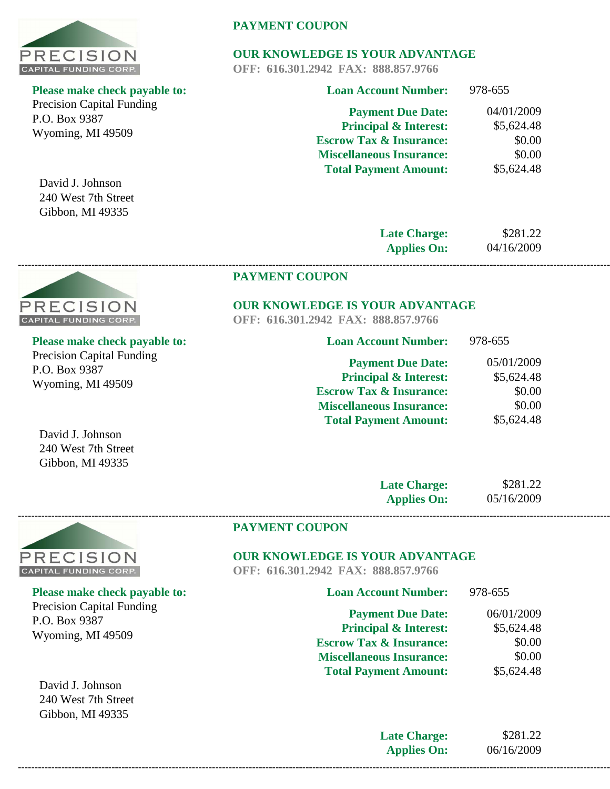

Precision Capital Funding P.O. Box 9387 Wyoming, MI 49509

David J. Johnson 240 West 7th Street Gibbon, MI 49335

# **PAYMENT COUPON**

# **OUR KNOWLEDGE IS YOUR ADVANTAGE**

**OFF: 616.301.2942 FAX: 888.857.9766**

| <b>Loan Account Number:</b>        | 978-655    |
|------------------------------------|------------|
| <b>Payment Due Date:</b>           | 04/01/2009 |
| <b>Principal &amp; Interest:</b>   | \$5,624.48 |
| <b>Escrow Tax &amp; Insurance:</b> | \$0.00     |
| <b>Miscellaneous Insurance:</b>    | \$0.00     |
| <b>Total Payment Amount:</b>       | \$5,624.48 |
|                                    |            |

**Late Charge: Applies On:**

\$281.22 04/16/2009

978-655

#### **PAYMENT COUPON**

#### **OUR KNOWLEDGE IS YOUR ADVANTAGE**

**Loan Account Number:**

**OFF: 616.301.2942 FAX: 888.857.9766**

**------------------------------------------------------------------------------------------------------------------------------------------------------------------------------------------------**

| <b>Please make check payable to:</b> |
|--------------------------------------|
| <b>Precision Capital Funding</b>     |
| P.O. Box 9387                        |
| Wyoming, MI 49509                    |

**PRECISION CAPITAL FUNDING CORP.** 

| <b>Payment Due Date:</b>           | 05/01/2009 |
|------------------------------------|------------|
| <b>Principal &amp; Interest:</b>   | \$5,624.48 |
| <b>Escrow Tax &amp; Insurance:</b> | \$0.00     |
| <b>Miscellaneous Insurance:</b>    | \$0.00     |
| <b>Total Payment Amount:</b>       | \$5,624.48 |

David J. Johnson 240 West 7th Street Gibbon, MI 49335

| <b>Late Charge:</b> | \$281.22   |
|---------------------|------------|
| <b>Applies On:</b>  | 05/16/2009 |



# **PAYMENT COUPON**

# **OUR KNOWLEDGE IS YOUR ADVANTAGE**

**OFF: 616.301.2942 FAX: 888.857.9766**

| <b>Loan Account Number:</b>        | 978-655    |
|------------------------------------|------------|
| <b>Payment Due Date:</b>           | 06/01/2009 |
| <b>Principal &amp; Interest:</b>   | \$5,624.48 |
| <b>Escrow Tax &amp; Insurance:</b> | \$0.00     |
| <b>Miscellaneous Insurance:</b>    | \$0.00     |
| <b>Total Payment Amount:</b>       | \$5,624.48 |
|                                    |            |

**Late Charge: Applies On:** \$281.22 06/16/2009 **------------------------------------------------------------------------------------------------------------------------------------------------------------------------------------------------**

# **Please make check payable to:**

Precision Capital Funding P.O. Box 9387 Wyoming, MI 49509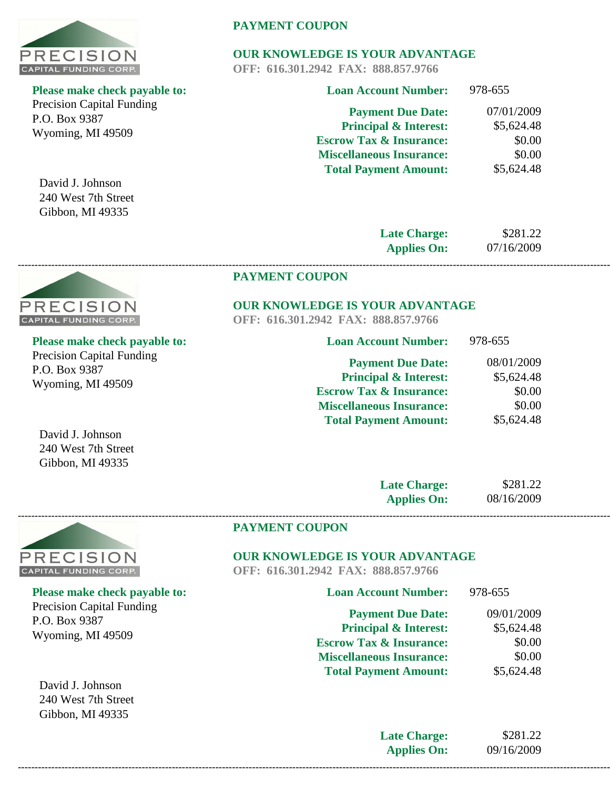

Precision Capital Funding P.O. Box 9387 Wyoming, MI 49509

David J. Johnson 240 West 7th Street Gibbon, MI 49335

**PRECISION CAPITAL FUNDING CORP.** 

# **PAYMENT COUPON**

# **OUR KNOWLEDGE IS YOUR ADVANTAGE**

**OFF: 616.301.2942 FAX: 888.857.9766**

| <b>Loan Account Number:</b>        | 978-655    |
|------------------------------------|------------|
| <b>Payment Due Date:</b>           | 07/01/2009 |
| <b>Principal &amp; Interest:</b>   | \$5,624.48 |
| <b>Escrow Tax &amp; Insurance:</b> | \$0.00     |
| <b>Miscellaneous Insurance:</b>    | \$0.00     |
| <b>Total Payment Amount:</b>       | \$5,624.48 |
|                                    |            |

**Late Charge: Applies On:**

\$281.22 07/16/2009

978-655

#### **PAYMENT COUPON**

#### **OUR KNOWLEDGE IS YOUR ADVANTAGE**

**Loan Account Number:**

**OFF: 616.301.2942 FAX: 888.857.9766**

**------------------------------------------------------------------------------------------------------------------------------------------------------------------------------------------------**

| <b>Please make check payable to:</b> |
|--------------------------------------|
| <b>Precision Capital Funding</b>     |
| P.O. Box 9387                        |
| Wyoming, MI 49509                    |

| 08/01/2009 |
|------------|
| \$5,624.48 |
| \$0.00     |
| \$0.00     |
| \$5,624.48 |
|            |

David J. Johnson 240 West 7th Street Gibbon, MI 49335

| <b>Late Charge:</b> | \$281.22   |
|---------------------|------------|
| <b>Applies On:</b>  | 08/16/2009 |



# **PAYMENT COUPON**

# **OUR KNOWLEDGE IS YOUR ADVANTAGE**

**OFF: 616.301.2942 FAX: 888.857.9766**

| <b>Loan Account Number:</b>        | 978-655    |
|------------------------------------|------------|
| <b>Payment Due Date:</b>           | 09/01/2009 |
| <b>Principal &amp; Interest:</b>   | \$5,624.48 |
| <b>Escrow Tax &amp; Insurance:</b> | \$0.00     |
| <b>Miscellaneous Insurance:</b>    | \$0.00     |
| <b>Total Payment Amount:</b>       | \$5,624.48 |
|                                    |            |

**Late Charge: Applies On:** \$281.22 09/16/2009 **------------------------------------------------------------------------------------------------------------------------------------------------------------------------------------------------**

#### **Please make check payable to:**

Precision Capital Funding P.O. Box 9387 Wyoming, MI 49509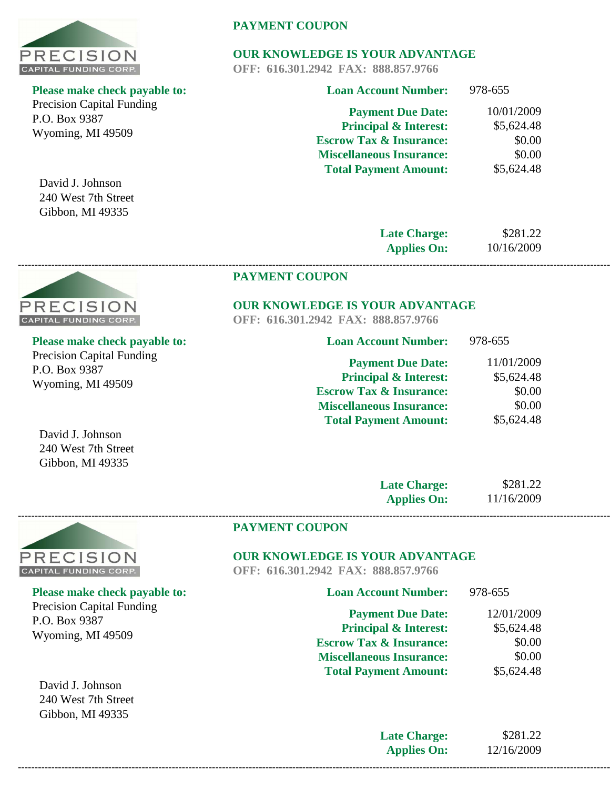

Precision Capital Funding P.O. Box 9387 Wyoming, MI 49509

David J. Johnson 240 West 7th Street Gibbon, MI 49335

# **PAYMENT COUPON**

# **OUR KNOWLEDGE IS YOUR ADVANTAGE**

**OFF: 616.301.2942 FAX: 888.857.9766**

| <b>Loan Account Number:</b>        | 978-655    |
|------------------------------------|------------|
| <b>Payment Due Date:</b>           | 10/01/2009 |
| <b>Principal &amp; Interest:</b>   | \$5,624.48 |
| <b>Escrow Tax &amp; Insurance:</b> | \$0.00     |
| <b>Miscellaneous Insurance:</b>    | \$0.00     |
| <b>Total Payment Amount:</b>       | \$5,624.48 |
|                                    |            |

**Late Charge: Applies On:**

\$281.22 10/16/2009

978-655

#### **PAYMENT COUPON**

# **OUR KNOWLEDGE IS YOUR ADVANTAGE**

**Loan Account Number:**

**OFF: 616.301.2942 FAX: 888.857.9766**

**------------------------------------------------------------------------------------------------------------------------------------------------------------------------------------------------**

| ase make check payable to: |
|----------------------------|
| cision Capital Funding     |
| . Box 9387                 |
| oming, MI 49509            |
|                            |

| <b>Payment Due Date:</b>           | 11/01/2009 |
|------------------------------------|------------|
| <b>Principal &amp; Interest:</b>   | \$5,624.48 |
| <b>Escrow Tax &amp; Insurance:</b> | \$0.00     |
| <b>Miscellaneous Insurance:</b>    | \$0.00     |
| <b>Total Payment Amount:</b>       | \$5,624.48 |

David J. Johnson 240 West 7th Street Gibbon, MI 49335

| <b>Late Charge:</b> | \$281.22   |
|---------------------|------------|
| <b>Applies On:</b>  | 11/16/2009 |



P.O. Box 9387

**Please make check payable to:** 

Precision Capital Funding

Wyoming, MI 49509

David J. Johnson 240 West 7th Street Gibbon, MI 49335

#### **PAYMENT COUPON**

# **OUR KNOWLEDGE IS YOUR ADVANTAGE**

**OFF: 616.301.2942 FAX: 888.857.9766**

| <b>Loan Account Number:</b>        | 978-655    |
|------------------------------------|------------|
| <b>Payment Due Date:</b>           | 12/01/2009 |
| <b>Principal &amp; Interest:</b>   | \$5,624.48 |
| <b>Escrow Tax &amp; Insurance:</b> | \$0.00     |
| <b>Miscellaneous Insurance:</b>    | \$0.00     |
| <b>Total Payment Amount:</b>       | \$5,624.48 |
|                                    |            |

**Late Charge: Applies On:** \$281.22 12/16/2009



**Please make check payable to:** 

Prec  $P.O$ Wy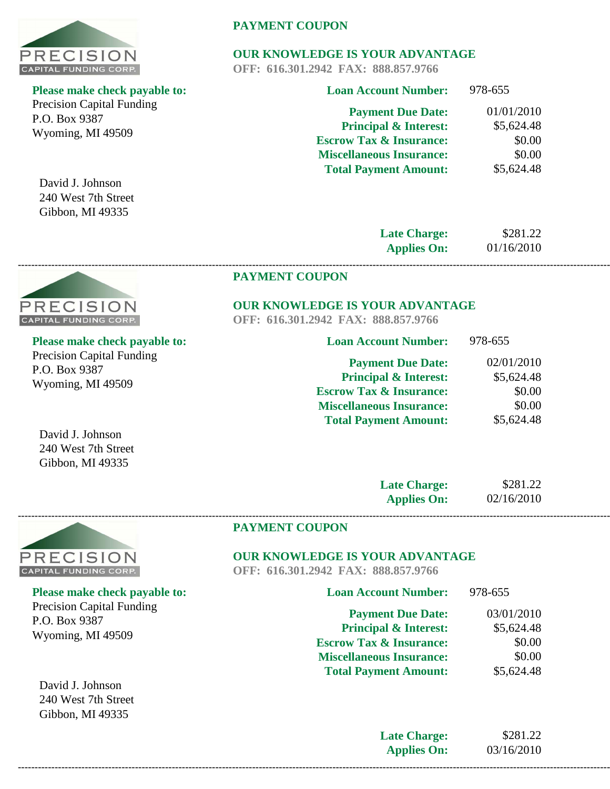

Precision Capital Funding P.O. Box 9387 Wyoming, MI 49509

David J. Johnson 240 West 7th Street Gibbon, MI 49335

# **PAYMENT COUPON**

# **OUR KNOWLEDGE IS YOUR ADVANTAGE**

**OFF: 616.301.2942 FAX: 888.857.9766**

| <b>Loan Account Number:</b>        | 978-655    |
|------------------------------------|------------|
| <b>Payment Due Date:</b>           | 01/01/2010 |
| <b>Principal &amp; Interest:</b>   | \$5,624.48 |
| <b>Escrow Tax &amp; Insurance:</b> | \$0.00     |
| <b>Miscellaneous Insurance:</b>    | \$0.00     |
| <b>Total Payment Amount:</b>       | \$5,624.48 |
|                                    |            |

**Late Charge: Applies On:** \$281.22 01/16/2010

#### **PAYMENT COUPON**

#### **OUR KNOWLEDGE IS YOUR ADVANTAGE**

**OFF: 616.301.2942 FAX: 888.857.9766**

**------------------------------------------------------------------------------------------------------------------------------------------------------------------------------------------------**

| <b>Loan Account Number:</b>        | 978-655    |
|------------------------------------|------------|
| <b>Payment Due Date:</b>           | 02/01/2010 |
| <b>Principal &amp; Interest:</b>   | \$5,624.48 |
| <b>Escrow Tax &amp; Insurance:</b> | \$0.00     |
| <b>Miscellaneous Insurance:</b>    | \$0.00     |
| <b>Total Payment Amount:</b>       | \$5,624.48 |

David J. Johnson 240 West 7th Street Gibbon, MI 49335

| <b>Late Charge:</b> | \$281.22   |
|---------------------|------------|
| <b>Applies On:</b>  | 02/16/2010 |



P.O. Box 9387

**Please make check payable to:** 

Precision Capital Funding

Wyoming, MI 49509

David J. Johnson 240 West 7th Street Gibbon, MI 49335

# **PAYMENT COUPON**

# **OUR KNOWLEDGE IS YOUR ADVANTAGE**

**OFF: 616.301.2942 FAX: 888.857.9766**

| <b>Loan Account Number:</b>        | 978-655    |
|------------------------------------|------------|
| <b>Payment Due Date:</b>           | 03/01/2010 |
| <b>Principal &amp; Interest:</b>   | \$5,624.48 |
| <b>Escrow Tax &amp; Insurance:</b> | \$0.00     |
| <b>Miscellaneous Insurance:</b>    | \$0.00     |
| <b>Total Payment Amount:</b>       | \$5,624.48 |
|                                    |            |

|--|



**Please make check payable to:** 

Precision Capital Funding P.O. Box 9387 Wyoming, MI 49509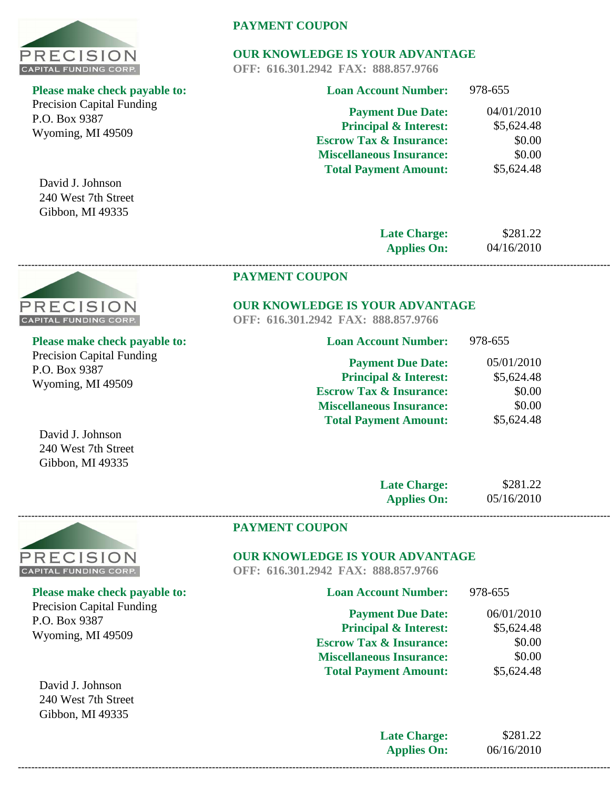

Precision Capital Funding P.O. Box 9387 Wyoming, MI 49509

David J. Johnson 240 West 7th Street Gibbon, MI 49335

# **PAYMENT COUPON**

# **OUR KNOWLEDGE IS YOUR ADVANTAGE**

**OFF: 616.301.2942 FAX: 888.857.9766**

| <b>Loan Account Number:</b>        | 978-655    |
|------------------------------------|------------|
| <b>Payment Due Date:</b>           | 04/01/2010 |
| <b>Principal &amp; Interest:</b>   | \$5,624.48 |
| <b>Escrow Tax &amp; Insurance:</b> | \$0.00     |
| <b>Miscellaneous Insurance:</b>    | \$0.00     |
| <b>Total Payment Amount:</b>       | \$5,624.48 |
|                                    |            |

**Late Charge: Applies On:** 04/16/2010

\$281.22

978-655

#### **PAYMENT COUPON**

# **OUR KNOWLEDGE IS YOUR ADVANTAGE**

**Loan Account Number:**

**OFF: 616.301.2942 FAX: 888.857.9766**

**------------------------------------------------------------------------------------------------------------------------------------------------------------------------------------------------**

| <b>Please make check payable to:</b> |
|--------------------------------------|
| <b>Precision Capital Funding</b>     |
| P.O. Box 9387                        |
| Wyoming, MI 49509                    |

**PRECISION CAPITAL FUNDING CORP.** 

| <b>Payment Due Date:</b>           | 05/01/2010 |
|------------------------------------|------------|
| <b>Principal &amp; Interest:</b>   | \$5,624.48 |
| <b>Escrow Tax &amp; Insurance:</b> | \$0.00     |
| <b>Miscellaneous Insurance:</b>    | \$0.00     |
| <b>Total Payment Amount:</b>       | \$5,624.48 |
|                                    |            |

David J. Johnson 240 West 7th Street Gibbon, MI 49335

| <b>Late Charge:</b> | \$281.22   |
|---------------------|------------|
| <b>Applies On:</b>  | 05/16/2010 |



#### **PAYMENT COUPON**

# **OUR KNOWLEDGE IS YOUR ADVANTAGE**

**OFF: 616.301.2942 FAX: 888.857.9766**

| <b>Loan Account Number:</b>        | 978-655    |
|------------------------------------|------------|
| <b>Payment Due Date:</b>           | 06/01/2010 |
| <b>Principal &amp; Interest:</b>   | \$5,624.48 |
| <b>Escrow Tax &amp; Insurance:</b> | \$0.00     |
| <b>Miscellaneous Insurance:</b>    | \$0.00     |
| <b>Total Payment Amount:</b>       | \$5,624.48 |
|                                    |            |

**Late Charge: Applies On:** \$281.22 06/16/2010 **------------------------------------------------------------------------------------------------------------------------------------------------------------------------------------------------**



# **Please make check payable to:**  Precision Capital Funding P.O. Box 9387

Wyoming, MI 49509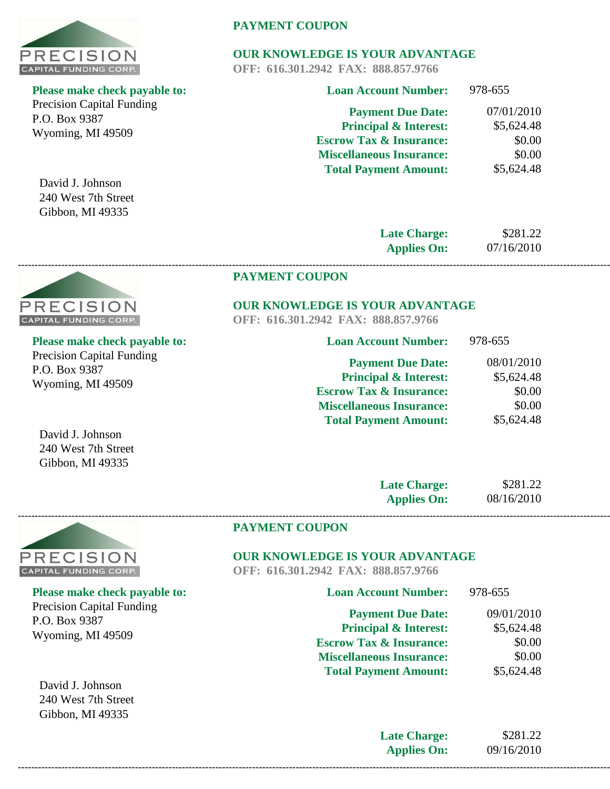

Precision Capital Funding P.O. Box 9387 Wyoming, MI 49509

David J. Johnson 240 West 7th Street Gibbon, MI 49335

# **PAYMENT COUPON**

# **OUR KNOWLEDGE IS YOUR ADVANTAGE**

**OFF: 616.301.2942 FAX: 888.857.9766**

| <b>Loan Account Number:</b>        | 978-655    |
|------------------------------------|------------|
| <b>Payment Due Date:</b>           | 07/01/2010 |
| <b>Principal &amp; Interest:</b>   | \$5,624.48 |
| <b>Escrow Tax &amp; Insurance:</b> | \$0.00     |
| <b>Miscellaneous Insurance:</b>    | \$0.00     |
| <b>Total Payment Amount:</b>       | \$5,624.48 |
|                                    |            |

**Late Charge: Applies On:** 07/16/2010

\$281.22

\$5,624.48

978-655

#### **PAYMENT COUPON**

# **OUR KNOWLEDGE IS YOUR ADVANTAGE**

**Loan Account Number:**

**Total Payment Amount:**

**OFF: 616.301.2942 FAX: 888.857.9766**

**------------------------------------------------------------------------------------------------------------------------------------------------------------------------------------------------**

| Please make check payable to:    |  |
|----------------------------------|--|
| <b>Precision Capital Funding</b> |  |
| P.O. Box 9387                    |  |
| Wyoming, MI 49509                |  |

| , , , , , , , , , , |
|---------------------|
| 08/01/2010          |
| \$5,624.48          |
| \$0.00              |
| \$0.00              |
|                     |

240 West 7th Street

| <b>Late Charge:</b> | \$281.22   |
|---------------------|------------|
| <b>Applies On:</b>  | 08/16/2010 |



P.O. Box 9387

**Please make check payable to:** 

Precision Capital Funding

Wyoming, MI 49509

David J. Johnson 240 West 7th Street Gibbon, MI 49335

#### **PAYMENT COUPON**

# **OUR KNOWLEDGE IS YOUR ADVANTAGE**

**OFF: 616.301.2942 FAX: 888.857.9766**

| <b>Loan Account Number:</b>        | 978-655    |
|------------------------------------|------------|
| <b>Payment Due Date:</b>           | 09/01/2010 |
| <b>Principal &amp; Interest:</b>   | \$5,624.48 |
| <b>Escrow Tax &amp; Insurance:</b> | \$0.00     |
| <b>Miscellaneous Insurance:</b>    | \$0.00     |
| <b>Total Payment Amount:</b>       | \$5,624.48 |
|                                    |            |

|--|



PRECISION

David J. Johnson

Gibbon, MI 49335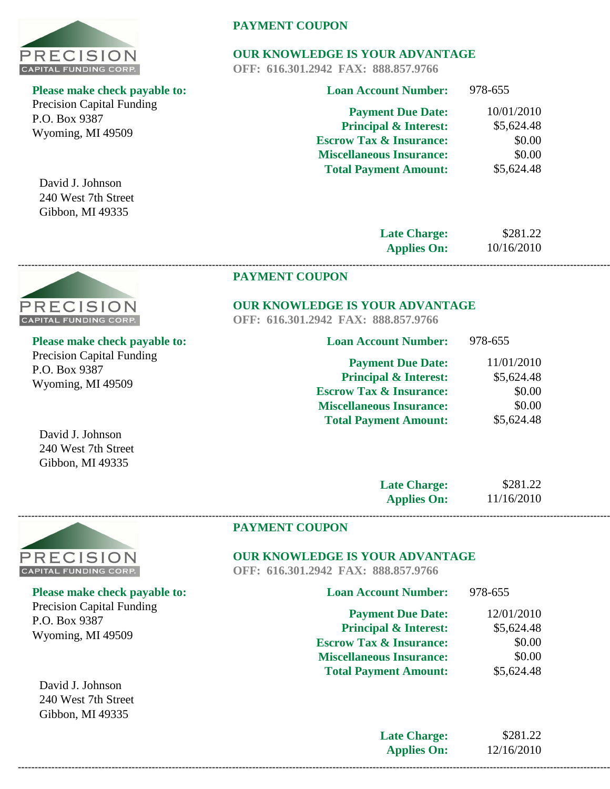

Precision Capital Funding P.O. Box 9387 Wyoming, MI 49509

David J. Johnson 240 West 7th Street Gibbon, MI 49335

# **PAYMENT COUPON**

# **OUR KNOWLEDGE IS YOUR ADVANTAGE**

**OFF: 616.301.2942 FAX: 888.857.9766**

| <b>Loan Account Number:</b>        | 978-655    |
|------------------------------------|------------|
| <b>Payment Due Date:</b>           | 10/01/2010 |
| <b>Principal &amp; Interest:</b>   | \$5,624.48 |
| <b>Escrow Tax &amp; Insurance:</b> | \$0.00     |
| <b>Miscellaneous Insurance:</b>    | \$0.00     |
| <b>Total Payment Amount:</b>       | \$5,624.48 |
|                                    |            |

**Late Charge: Applies On:** \$281.22 10/16/2010

# **PAYMENT COUPON**

# **OUR KNOWLEDGE IS YOUR ADVANTAGE**

**OFF: 616.301.2942 FAX: 888.857.9766**

**------------------------------------------------------------------------------------------------------------------------------------------------------------------------------------------------**

| <b>Loan Account Number:</b>        | 978-655    |
|------------------------------------|------------|
| <b>Payment Due Date:</b>           | 11/01/2010 |
| <b>Principal &amp; Interest:</b>   | \$5,624.48 |
| <b>Escrow Tax &amp; Insurance:</b> | \$0.00     |
| <b>Miscellaneous Insurance:</b>    | \$0.00     |
| <b>Total Payment Amount:</b>       | \$5,624.48 |
|                                    |            |

David J. Johnson 240 West 7th Street Gibbon, MI 49335

| <b>Late Charge:</b> | \$281.22   |
|---------------------|------------|
| <b>Applies On:</b>  | 11/16/2010 |



P.O. Box 9387

Wyoming, MI 49509

David J. Johnson 240 West 7th Street Gibbon, MI 49335

**Please make check payable to:** 

Precision Capital Funding

#### **PAYMENT COUPON**

# **OUR KNOWLEDGE IS YOUR ADVANTAGE**

**OFF: 616.301.2942 FAX: 888.857.9766**

| <b>Loan Account Number:</b>        | 978-655    |
|------------------------------------|------------|
| <b>Payment Due Date:</b>           | 12/01/2010 |
| <b>Principal &amp; Interest:</b>   | \$5,624.48 |
| <b>Escrow Tax &amp; Insurance:</b> | \$0.00     |
| <b>Miscellaneous Insurance:</b>    | \$0.00     |
| <b>Total Payment Amount:</b>       | \$5,624.48 |
|                                    |            |

**Late Charge: Applies On:** \$281.22 12/16/2010 **------------------------------------------------------------------------------------------------------------------------------------------------------------------------------------------------**



**Please make check payable to:** 

Precision Capital Funding P.O. Box 9387 Wyoming, MI 49509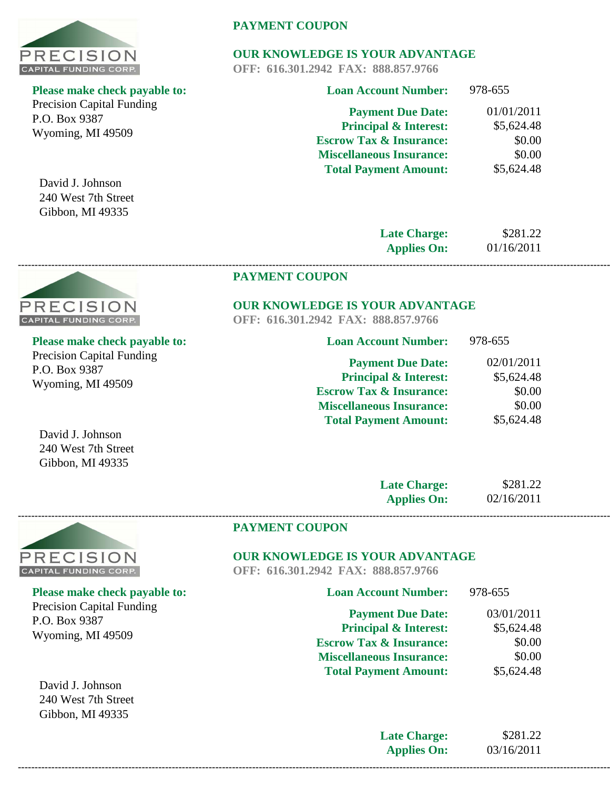

Precision Capital Funding P.O. Box 9387 Wyoming, MI 49509

David J. Johnson 240 West 7th Street Gibbon, MI 49335

PRECISION **CAPITAL FUNDING CORP.** 

# **PAYMENT COUPON**

# **OUR KNOWLEDGE IS YOUR ADVANTAGE**

**OFF: 616.301.2942 FAX: 888.857.9766**

| <b>Loan Account Number:</b>        | 978-655    |
|------------------------------------|------------|
| <b>Payment Due Date:</b>           | 01/01/2011 |
| <b>Principal &amp; Interest:</b>   | \$5,624.48 |
| <b>Escrow Tax &amp; Insurance:</b> | \$0.00     |
| <b>Miscellaneous Insurance:</b>    | \$0.00     |
| <b>Total Payment Amount:</b>       | \$5,624.48 |
|                                    |            |

**Late Charge: Applies On:** 01/16/2011

\$281.22

 $278-655$ 

#### **PAYMENT COUPON**

# **OUR KNOWLEDGE IS YOUR ADVANTAGE**

**OFF: 616.301.2942 FAX: 888.857.9766**

**------------------------------------------------------------------------------------------------------------------------------------------------------------------------------------------------**

| Please make check payable to:    |  |
|----------------------------------|--|
| <b>Precision Capital Funding</b> |  |
| P.O. Box 9387                    |  |
| Wyoming, MI 49509                |  |

| Loan Account Number: | 978-000 |
|----------------------|---------|
|                      |         |
|                      |         |

**Loan Account Number:**

| <b>Payment Due Date:</b>           | 02/01/2011 |
|------------------------------------|------------|
| <b>Principal &amp; Interest:</b>   | \$5,624.48 |
| <b>Escrow Tax &amp; Insurance:</b> | \$0.00     |
| <b>Miscellaneous Insurance:</b>    | \$0.00     |
| <b>Total Payment Amount:</b>       | \$5,624.48 |

David J. Johnson 240 West 7th Street Gibbon, MI 49335

| <b>Late Charge:</b> | \$281.22   |
|---------------------|------------|
| <b>Applies On:</b>  | 02/16/2011 |



**Please make check payable to:**  Precision Capital Funding P.O. Box 9387 Wyoming, MI 49509

David J. Johnson 240 West 7th Street Gibbon, MI 49335

#### **PAYMENT COUPON**

# **OUR KNOWLEDGE IS YOUR ADVANTAGE**

**OFF: 616.301.2942 FAX: 888.857.9766**

| 978-655    |
|------------|
| 03/01/2011 |
| \$5,624.48 |
| \$0.00     |
| \$0.00     |
| \$5,624.48 |
|            |

**Late Charge: Applies On:**

\$281.22 03/16/2011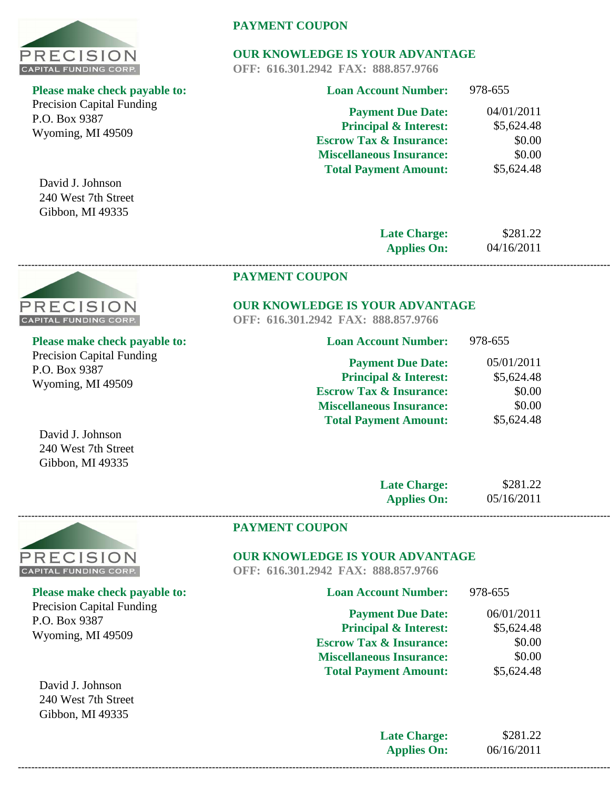

Precision Capital Funding P.O. Box 9387 Wyoming, MI 49509

David J. Johnson 240 West 7th Street Gibbon, MI 49335

**PRECISION CAPITAL FUNDING CORP.** 

# **PAYMENT COUPON**

# **OUR KNOWLEDGE IS YOUR ADVANTAGE**

**OFF: 616.301.2942 FAX: 888.857.9766**

| <b>Loan Account Number:</b>        | 978-655    |
|------------------------------------|------------|
| <b>Payment Due Date:</b>           | 04/01/2011 |
| <b>Principal &amp; Interest:</b>   | \$5,624.48 |
| <b>Escrow Tax &amp; Insurance:</b> | \$0.00     |
| <b>Miscellaneous Insurance:</b>    | \$0.00     |
| <b>Total Payment Amount:</b>       | \$5,624.48 |
|                                    |            |

**Late Charge: Applies On:**

\$281.22 04/16/2011

 $079.655$ 

#### **PAYMENT COUPON**

# **OUR KNOWLEDGE IS YOUR ADVANTAGE**

**OFF: 616.301.2942 FAX: 888.857.9766**

**------------------------------------------------------------------------------------------------------------------------------------------------------------------------------------------------**

| Please make check payable to:    |
|----------------------------------|
| <b>Precision Capital Funding</b> |
| P.O. Box 9387                    |
| Wyoming, MI 49509                |

| LOAN ACCOUNT NUMBER      | $7/0-0.33$ |
|--------------------------|------------|
| <b>Payment Due Date:</b> | 05/01/2011 |

**Loan Account Number:**

| <b>Principal &amp; Interest:</b>   | \$5,624.48 |
|------------------------------------|------------|
| <b>Escrow Tax &amp; Insurance:</b> | \$0.00     |
| <b>Miscellaneous Insurance:</b>    | \$0.00     |
| <b>Total Payment Amount:</b>       | \$5,624.48 |

David J. Johnson 240 West 7th Street Gibbon, MI 49335

| <b>Late Charge:</b> | \$281.22   |
|---------------------|------------|
| <b>Applies On:</b>  | 05/16/2011 |



**Please make check payable to:**  Precision Capital Funding P.O. Box 9387 Wyoming, MI 49509

David J. Johnson 240 West 7th Street Gibbon, MI 49335

#### **PAYMENT COUPON**

# **OUR KNOWLEDGE IS YOUR ADVANTAGE**

**OFF: 616.301.2942 FAX: 888.857.9766**

**Late Charge: Applies On:**

\$281.22 06/16/2011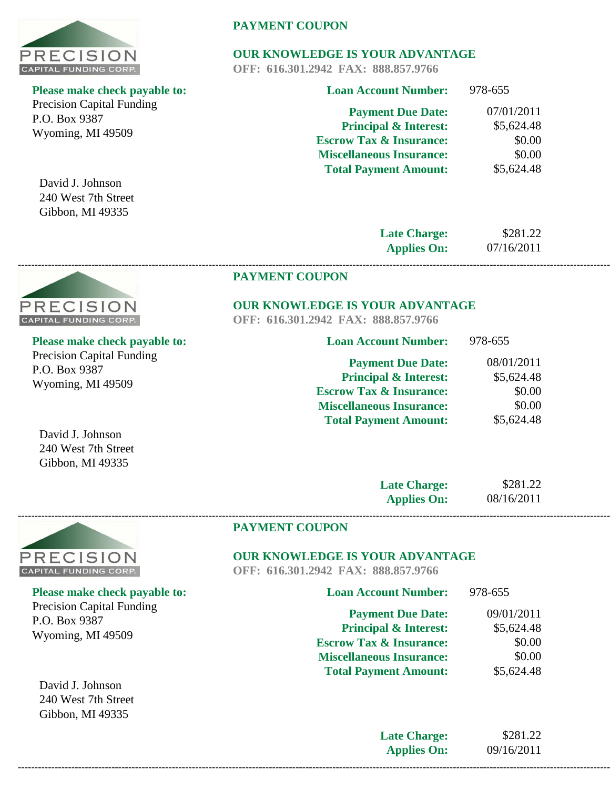

Precision Capital Funding P.O. Box 9387 Wyoming, MI 49509

David J. Johnson 240 West 7th Street Gibbon, MI 49335

# **PAYMENT COUPON**

# **OUR KNOWLEDGE IS YOUR ADVANTAGE**

**OFF: 616.301.2942 FAX: 888.857.9766**

| <b>Loan Account Number:</b>        | 978-655    |
|------------------------------------|------------|
| <b>Payment Due Date:</b>           | 07/01/2011 |
| <b>Principal &amp; Interest:</b>   | \$5,624.48 |
| <b>Escrow Tax &amp; Insurance:</b> | \$0.00     |
| <b>Miscellaneous Insurance:</b>    | \$0.00     |
| <b>Total Payment Amount:</b>       | \$5,624.48 |
|                                    |            |

**Late Charge: Applies On:**

\$281.22 07/16/2011

978-655

#### **PAYMENT COUPON**

#### **OUR KNOWLEDGE IS YOUR ADVANTAGE**

**Loan Account Number:**

**OFF: 616.301.2942 FAX: 888.857.9766**

**------------------------------------------------------------------------------------------------------------------------------------------------------------------------------------------------**

| <b>Please make check payable to</b> |
|-------------------------------------|
| <b>Precision Capital Funding</b>    |
| P.O. Box 9387                       |
| $Wvomino$ MI $40500$                |

| <b>Payment Due Date:</b>           | 08/01/2011 |
|------------------------------------|------------|
| <b>Principal &amp; Interest:</b>   | \$5,624.48 |
| <b>Escrow Tax &amp; Insurance:</b> | \$0.00     |
| <b>Miscellaneous Insurance:</b>    | \$0.00     |
| <b>Total Payment Amount:</b>       | \$5,624.48 |
|                                    |            |

David J. Johnson 240 West 7th Street Gibbon, MI 49335

| <b>Late Charge:</b> | \$281.22   |
|---------------------|------------|
| <b>Applies On:</b>  | 08/16/2011 |



**PAYMENT COUPON**

# **OUR KNOWLEDGE IS YOUR ADVANTAGE**

**OFF: 616.301.2942 FAX: 888.857.9766**

| <b>Loan Account Number:</b>        | 978-655    |
|------------------------------------|------------|
| <b>Payment Due Date:</b>           | 09/01/2011 |
| <b>Principal &amp; Interest:</b>   | \$5,624.48 |
| <b>Escrow Tax &amp; Insurance:</b> | \$0.00     |
| <b>Miscellaneous Insurance:</b>    | \$0.00     |
| <b>Total Payment Amount:</b>       | \$5,624.48 |
|                                    |            |

**Late Charge: Applies On:** \$281.22 09/16/2011 **------------------------------------------------------------------------------------------------------------------------------------------------------------------------------------------------**



**Please make check payable to:** 

Wyoming, MI 49509

**Please make check payable to:**  Precision Capital Funding P.O. Box 9387 Wyoming, MI 49509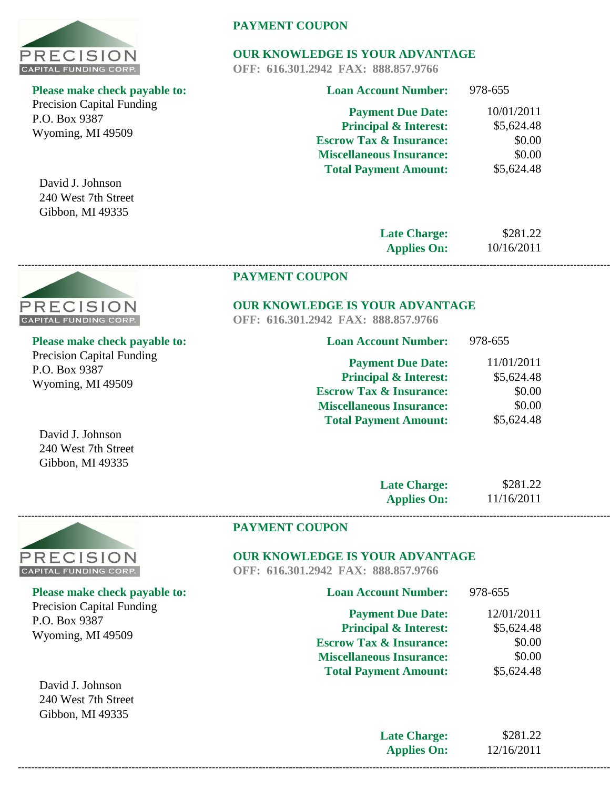

Precision Capital Funding P.O. Box 9387 Wyoming, MI 49509

David J. Johnson 240 West 7th Street Gibbon, MI 49335

# **PAYMENT COUPON**

# **OUR KNOWLEDGE IS YOUR ADVANTAGE**

**OFF: 616.301.2942 FAX: 888.857.9766**

| <b>Loan Account Number:</b>        | 978-655    |
|------------------------------------|------------|
| <b>Payment Due Date:</b>           | 10/01/2011 |
| <b>Principal &amp; Interest:</b>   | \$5,624.48 |
| <b>Escrow Tax &amp; Insurance:</b> | \$0.00     |
| <b>Miscellaneous Insurance:</b>    | \$0.00     |
| <b>Total Payment Amount:</b>       | \$5,624.48 |
|                                    |            |

**Late Charge: Applies On:** 10/16/2011

\$281.22

978-655

#### **PAYMENT COUPON**

#### **OUR KNOWLEDGE IS YOUR ADVANTAGE**

**OFF: 616.301.2942 FAX: 888.857.9766**

**------------------------------------------------------------------------------------------------------------------------------------------------------------------------------------------------**

| <b>Please make check payable to:</b>                                   | <b>Loan Account Number:</b>        |
|------------------------------------------------------------------------|------------------------------------|
| <b>Precision Capital Funding</b><br>P.O. Box 9387<br>Wyoming, MI 49509 | <b>Payment Due Date:</b>           |
|                                                                        | <b>Principal &amp; Interest:</b>   |
|                                                                        | <b>Escrow Tax &amp; Insurance:</b> |
|                                                                        | <b>Miscellaneous Insurance:</b>    |

| <b>Payment Due Date:</b>           | 11/01/2011 |
|------------------------------------|------------|
| <b>Principal &amp; Interest:</b>   | \$5,624.48 |
| <b>Escrow Tax &amp; Insurance:</b> | \$0.00     |
| <b>Miscellaneous Insurance:</b>    | \$0.00     |
| <b>Total Payment Amount:</b>       | \$5,624.48 |

240 West 7th Street Gibbon, MI 49335

PRECISION **CAPITAL FUNDING CORP.** 

| <b>Late Charge:</b> | \$281.22   |
|---------------------|------------|
| <b>Applies On:</b>  | 11/16/2011 |



P.O. Box 9387

**Please make check payable to:** 

Precision Capital Funding

Wyoming, MI 49509

David J. Johnson 240 West 7th Street Gibbon, MI 49335

#### **PAYMENT COUPON**

# **OUR KNOWLEDGE IS YOUR ADVANTAGE**

**OFF: 616.301.2942 FAX: 888.857.9766**

| <b>Loan Account Number:</b>        | 978-655    |
|------------------------------------|------------|
| <b>Payment Due Date:</b>           | 12/01/2011 |
| <b>Principal &amp; Interest:</b>   | \$5,624.48 |
| <b>Escrow Tax &amp; Insurance:</b> | \$0.00     |
| <b>Miscellaneous Insurance:</b>    | \$0.00     |
| <b>Total Payment Amount:</b>       | \$5,624.48 |
|                                    |            |

**Late Charge: Applies On:** \$281.22 12/16/2011 **------------------------------------------------------------------------------------------------------------------------------------------------------------------------------------------------**

David J. Johnson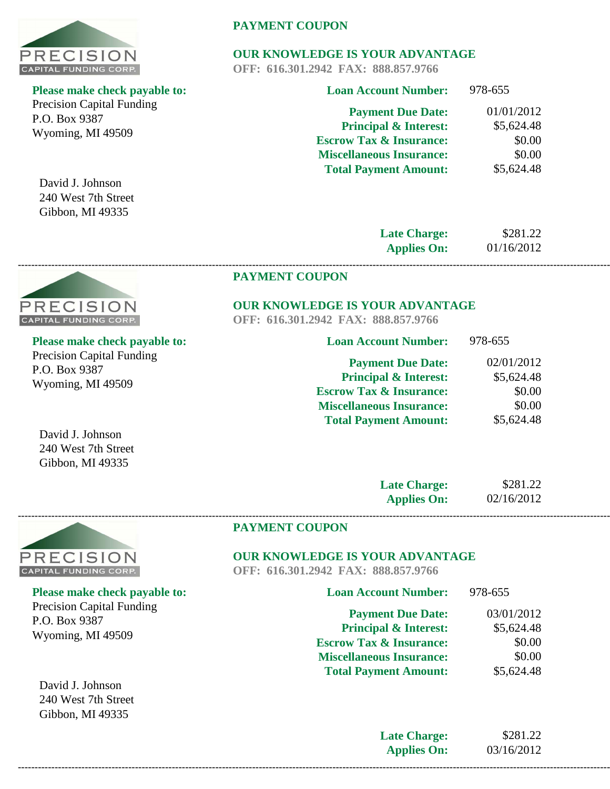

Precision Capital Funding P.O. Box 9387 Wyoming, MI 49509

David J. Johnson 240 West 7th Street Gibbon, MI 49335

PRECISION **CAPITAL FUNDING CORP.** 

# **PAYMENT COUPON**

# **OUR KNOWLEDGE IS YOUR ADVANTAGE**

**OFF: 616.301.2942 FAX: 888.857.9766**

| <b>Loan Account Number:</b>        | 978-655    |
|------------------------------------|------------|
| <b>Payment Due Date:</b>           | 01/01/2012 |
| <b>Principal &amp; Interest:</b>   | \$5,624.48 |
| <b>Escrow Tax &amp; Insurance:</b> | \$0.00     |
| <b>Miscellaneous Insurance:</b>    | \$0.00     |
| <b>Total Payment Amount:</b>       | \$5,624.48 |
|                                    |            |

**Late Charge: Applies On:** 01/16/2012

\$281.22

978-655

#### **PAYMENT COUPON**

# **OUR KNOWLEDGE IS YOUR ADVANTAGE**

**Loan Account Number:**

**OFF: 616.301.2942 FAX: 888.857.9766**

**------------------------------------------------------------------------------------------------------------------------------------------------------------------------------------------------**

| Please make check payable to:    |
|----------------------------------|
| <b>Precision Capital Funding</b> |
| P.O. Box 9387                    |
| Wyoming, MI 49509                |

| <b>Payment Due Date:</b>           | 02/01/2012 |
|------------------------------------|------------|
| <b>Principal &amp; Interest:</b>   | \$5,624.48 |
| <b>Escrow Tax &amp; Insurance:</b> | \$0.00     |
| <b>Miscellaneous Insurance:</b>    | \$0.00     |
| <b>Total Payment Amount:</b>       | \$5,624.48 |

David J. Johnson 240 West 7th Street Gibbon, MI 49335

| <b>Late Charge:</b> | \$281.22   |
|---------------------|------------|
| <b>Applies On:</b>  | 02/16/2012 |



P.O. Box 9387

**Please make check payable to:** 

Precision Capital Funding

Wyoming, MI 49509

#### **PAYMENT COUPON**

# **OUR KNOWLEDGE IS YOUR ADVANTAGE**

**OFF: 616.301.2942 FAX: 888.857.9766**

| <b>Loan Account Number:</b>        | 978-655    |
|------------------------------------|------------|
| <b>Payment Due Date:</b>           | 03/01/2012 |
| <b>Principal &amp; Interest:</b>   | \$5,624.48 |
| <b>Escrow Tax &amp; Insurance:</b> | \$0.00     |
| <b>Miscellaneous Insurance:</b>    | \$0.00     |
| <b>Total Payment Amount:</b>       | \$5,624.48 |
|                                    |            |

David J. Johnson 240 West 7th Street Gibbon, MI 49335

> **Late Charge: Applies On:**

\$281.22 03/16/2012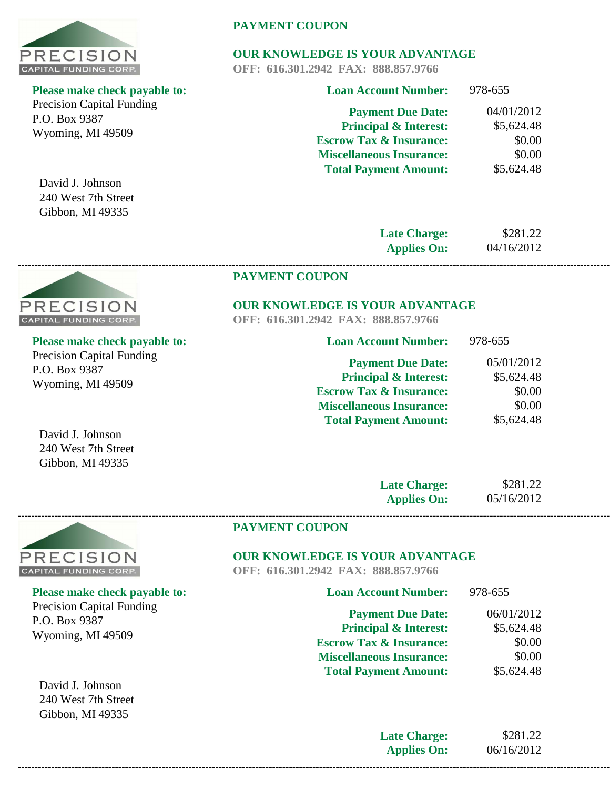

Precision Capital Funding P.O. Box 9387 Wyoming, MI 49509

David J. Johnson 240 West 7th Street Gibbon, MI 49335

PRECISION **CAPITAL FUNDING CORP.** 

# **PAYMENT COUPON**

# **OUR KNOWLEDGE IS YOUR ADVANTAGE**

**OFF: 616.301.2942 FAX: 888.857.9766**

| <b>Loan Account Number:</b>        | 978-655    |
|------------------------------------|------------|
| <b>Payment Due Date:</b>           | 04/01/2012 |
| <b>Principal &amp; Interest:</b>   | \$5,624.48 |
| <b>Escrow Tax &amp; Insurance:</b> | \$0.00     |
| <b>Miscellaneous Insurance:</b>    | \$0.00     |
| <b>Total Payment Amount:</b>       | \$5,624.48 |
|                                    |            |

**Late Charge: Applies On:** 04/16/2012

\$281.22

 $070$   $CE$ 

#### **PAYMENT COUPON**

#### **OUR KNOWLEDGE IS YOUR ADVANTAGE**

**OFF: 616.301.2942 FAX: 888.857.9766**

**------------------------------------------------------------------------------------------------------------------------------------------------------------------------------------------------**

| Please make check payable to:    |  |
|----------------------------------|--|
| <b>Precision Capital Funding</b> |  |
| P.O. Box 9387                    |  |
| Wyoming, MI 49509                |  |

| ЕОЯН АССОНІН І ІНШІСІВ   | $710-0.00$ |  |
|--------------------------|------------|--|
| <b>Payment Due Date:</b> | 05/01/2012 |  |

**Loan Account Number:**

| _ _ _ ______ _ _ _ _ _ _           |            |
|------------------------------------|------------|
| <b>Principal &amp; Interest:</b>   | \$5,624.48 |
| <b>Escrow Tax &amp; Insurance:</b> | \$0.00     |
| <b>Miscellaneous Insurance:</b>    | \$0.00     |
| <b>Total Payment Amount:</b>       | \$5,624.48 |
|                                    |            |

David J. Johnson 240 West 7th Street Gibbon, MI 49335

| <b>Late Charge:</b> | \$281.22   |
|---------------------|------------|
| <b>Applies On:</b>  | 05/16/2012 |



#### **PAYMENT COUPON**

# **OUR KNOWLEDGE IS YOUR ADVANTAGE**

**OFF: 616.301.2942 FAX: 888.857.9766**

| <b>Loan Account Number:</b>        | 978-655    |
|------------------------------------|------------|
| <b>Payment Due Date:</b>           | 06/01/2012 |
| <b>Principal &amp; Interest:</b>   | \$5,624.48 |
| <b>Escrow Tax &amp; Insurance:</b> | \$0.00     |
| <b>Miscellaneous Insurance:</b>    | \$0.00     |
| <b>Total Payment Amount:</b>       | \$5,624.48 |
|                                    |            |

**Late Charge: Applies On:** \$281.22 06/16/2012 **------------------------------------------------------------------------------------------------------------------------------------------------------------------------------------------------**

**------------------------------------------------------------------------------------------------------------------------------------------------------------------------------------------------**

**Please make check payable to:**  Precision Capital Funding P.O. Box 9387 Wyoming, MI 49509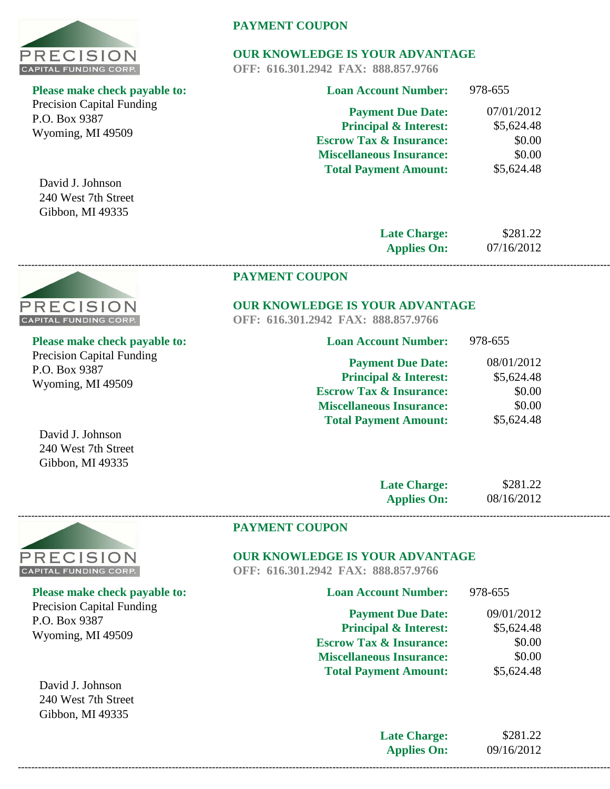

Precision Capital Funding P.O. Box 9387 Wyoming, MI 49509

David J. Johnson 240 West 7th Street Gibbon, MI 49335

# **PAYMENT COUPON**

# **OUR KNOWLEDGE IS YOUR ADVANTAGE**

**OFF: 616.301.2942 FAX: 888.857.9766**

| <b>Loan Account Number:</b>        | 978-655    |
|------------------------------------|------------|
| <b>Payment Due Date:</b>           | 07/01/2012 |
| <b>Principal &amp; Interest:</b>   | \$5,624.48 |
| <b>Escrow Tax &amp; Insurance:</b> | \$0.00     |
| <b>Miscellaneous Insurance:</b>    | \$0.00     |
| <b>Total Payment Amount:</b>       | \$5,624.48 |
|                                    |            |

**Late Charge: Applies On:** 07/16/2012

\$281.22

08/01/2012 \$5,624.48 \$0.00 \$0.00 \$5,624.48

978-655

#### **PAYMENT COUPON**

# **OUR KNOWLEDGE IS YOUR ADVANTAGE**

**OFF: 616.301.2942 FAX: 888.857.9766**

**------------------------------------------------------------------------------------------------------------------------------------------------------------------------------------------------**

| I. | <b>Loan Account Number:</b>        |
|----|------------------------------------|
|    | <b>Payment Due Date:</b>           |
|    | <b>Principal &amp; Interest:</b>   |
|    | <b>Escrow Tax &amp; Insurance:</b> |
|    | <b>Miscellaneous Insurance:</b>    |
|    | <b>Total Payment Amount:</b>       |

| 'RECISION                    |  |
|------------------------------|--|
| <b>CAPITAL FUNDING CORP.</b> |  |

# **Please make check payable to:**

Precision Capital Funding P.O. Box 9387 Wyoming, MI 49509

| <b>Late Charge:</b> | \$281.22   |
|---------------------|------------|
| <b>Applies On:</b>  | 08/16/2012 |



#### **PAYMENT COUPON**

# **OUR KNOWLEDGE IS YOUR ADVANTAGE**

**OFF: 616.301.2942 FAX: 888.857.9766**

| <b>Loan Account Number:</b>        | 978-655    |
|------------------------------------|------------|
| <b>Payment Due Date:</b>           | 09/01/2012 |
| <b>Principal &amp; Interest:</b>   | \$5,624.48 |
| <b>Escrow Tax &amp; Insurance:</b> | \$0.00     |
| <b>Miscellaneous Insurance:</b>    | \$0.00     |
| <b>Total Payment Amount:</b>       | \$5,624.48 |
|                                    |            |

**Late Charge: Applies On:** \$281.22 09/16/2012

David J. Johnson 240 West 7th Street Gibbon, MI 49335

# **Please make check payable to:**

Precision Capital Funding P.O. Box 9387 Wyoming, MI 49509

David J. Johnson 240 West 7th Street Gibbon, MI 49335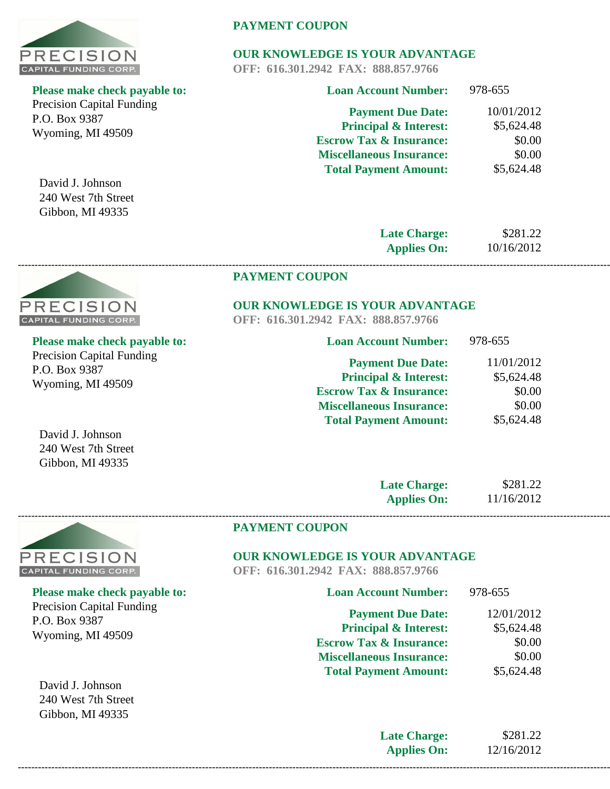

Precision Capital Funding P.O. Box 9387 Wyoming, MI 49509

David J. Johnson 240 West 7th Street Gibbon, MI 49335

# **PAYMENT COUPON**

# **OUR KNOWLEDGE IS YOUR ADVANTAGE**

**OFF: 616.301.2942 FAX: 888.857.9766**

| <b>Loan Account Number:</b>        | 978-655    |
|------------------------------------|------------|
| <b>Payment Due Date:</b>           | 10/01/2012 |
| <b>Principal &amp; Interest:</b>   | \$5,624.48 |
| <b>Escrow Tax &amp; Insurance:</b> | \$0.00     |
| <b>Miscellaneous Insurance:</b>    | \$0.00     |
| <b>Total Payment Amount:</b>       | \$5,624.48 |
|                                    |            |

**Late Charge: Applies On:** \$281.22 10/16/2012

# **PAYMENT COUPON**

# **OUR KNOWLEDGE IS YOUR ADVANTAGE**

**OFF: 616.301.2942 FAX: 888.857.9766**

**------------------------------------------------------------------------------------------------------------------------------------------------------------------------------------------------**

| <b>Loan Account Number:</b>        | 978-655    |
|------------------------------------|------------|
| <b>Payment Due Date:</b>           | 11/01/2012 |
| <b>Principal &amp; Interest:</b>   | \$5,624.48 |
| <b>Escrow Tax &amp; Insurance:</b> | \$0.00     |
| <b>Miscellaneous Insurance:</b>    | \$0.00     |
| <b>Total Payment Amount:</b>       | \$5,624.48 |

**Please make check payable to:** 

Precision Capital Funding

P.O. Box 9387

Wyoming, MI 49509

PRECISION **CAPITAL FUNDING CORP.** 

| <b>Late Charge:</b> | \$281.22   |
|---------------------|------------|
| <b>Applies On:</b>  | 11/16/2012 |



# **OUR KNOWLEDGE IS YOUR ADVANTAGE**

**OFF: 616.301.2942 FAX: 888.857.9766**

| <b>Loan Account Number:</b>        | 978-655    |
|------------------------------------|------------|
| <b>Payment Due Date:</b>           | 12/01/2012 |
| <b>Principal &amp; Interest:</b>   | \$5,624.48 |
| <b>Escrow Tax &amp; Insurance:</b> | \$0.00     |
| <b>Miscellaneous Insurance:</b>    | \$0.00     |
| <b>Total Payment Amount:</b>       | \$5,624.48 |
|                                    |            |

**Late Charge: Applies On:** \$281.22 12/16/2012 **------------------------------------------------------------------------------------------------------------------------------------------------------------------------------------------------**

David J. Johnson 240 West 7th Street Gibbon, MI 49335



# **Please make check payable to:**

Precision Capital Funding P.O. Box 9387 Wyoming, MI 49509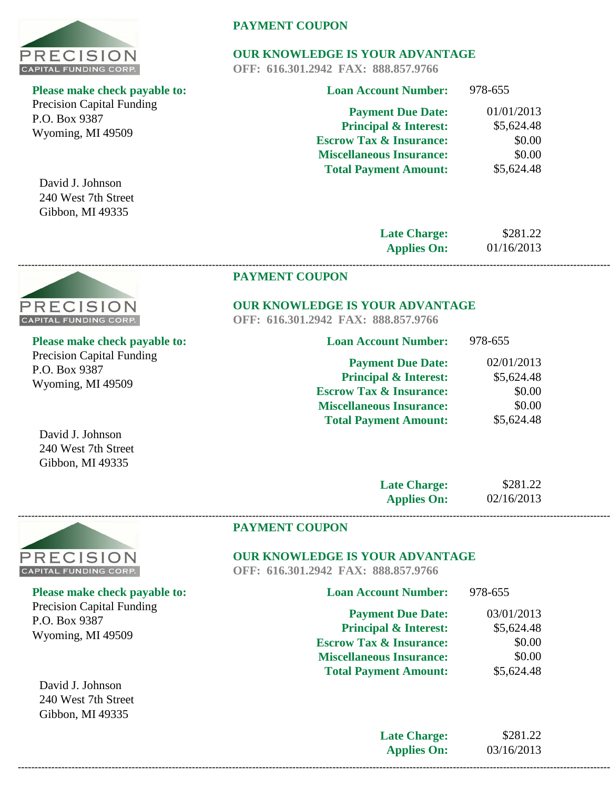

Precision Capital Funding P.O. Box 9387 Wyoming, MI 49509

David J. Johnson 240 West 7th Street Gibbon, MI 49335

# **PAYMENT COUPON**

# **OUR KNOWLEDGE IS YOUR ADVANTAGE**

**OFF: 616.301.2942 FAX: 888.857.9766**

| <b>Loan Account Number:</b>        | 978-655    |
|------------------------------------|------------|
| <b>Payment Due Date:</b>           | 01/01/2013 |
| <b>Principal &amp; Interest:</b>   | \$5,624.48 |
| <b>Escrow Tax &amp; Insurance:</b> | \$0.00     |
| <b>Miscellaneous Insurance:</b>    | \$0.00     |
| <b>Total Payment Amount:</b>       | \$5,624.48 |
|                                    |            |

**Late Charge: Applies On:** \$281.22 01/16/2013

978-655

# **PAYMENT COUPON**

# **OUR KNOWLEDGE IS YOUR ADVANTAGE**

**OFF: 616.301.2942 FAX: 888.857.9766**

**------------------------------------------------------------------------------------------------------------------------------------------------------------------------------------------------**

| ble to: | <b>Loan Account Number:</b>        |
|---------|------------------------------------|
|         | <b>Payment Due Date:</b>           |
|         | <b>Principal &amp; Interest:</b>   |
|         | <b>Escrow Tax &amp; Insurance:</b> |
|         | <b>Miscellaneous Insurance:</b>    |

**Payment Due Date: Principal & Interest: Escrow Tax & Insurance:** 02/01/2013 \$5,624.48 \$0.00

| escrow Tax & Hisurance:         | JU.UU      |
|---------------------------------|------------|
| <b>Miscellaneous Insurance:</b> | \$0.00     |
| <b>Total Payment Amount:</b>    | \$5,624.48 |
|                                 |            |

David J. Johnson 240 West 7th Street Gibbon, MI 49335

| <b>Late Charge:</b> | \$281.22   |
|---------------------|------------|
| <b>Applies On:</b>  | 02/16/2013 |



#### **PAYMENT COUPON**

# **OUR KNOWLEDGE IS YOUR ADVANTAGE**

**OFF: 616.301.2942 FAX: 888.857.9766**

| <b>Loan Account Number:</b>        | 978-655    |
|------------------------------------|------------|
| <b>Payment Due Date:</b>           | 03/01/2013 |
| <b>Principal &amp; Interest:</b>   | \$5,624.48 |
| <b>Escrow Tax &amp; Insurance:</b> | \$0.00     |
| <b>Miscellaneous Insurance:</b>    | \$0.00     |
| <b>Total Payment Amount:</b>       | \$5,624.48 |
|                                    |            |

**Late Charge: Applies On:** \$281.22 03/16/2013 **------------------------------------------------------------------------------------------------------------------------------------------------------------------------------------------------**



# **Please make check payable to:**

Precision Capital Funding P.O. Box 9387 Wyoming, MI 49509



**Please make check payable to:** 

Precision Capital Funding P.O. Box 9387 Wyoming, MI 49509